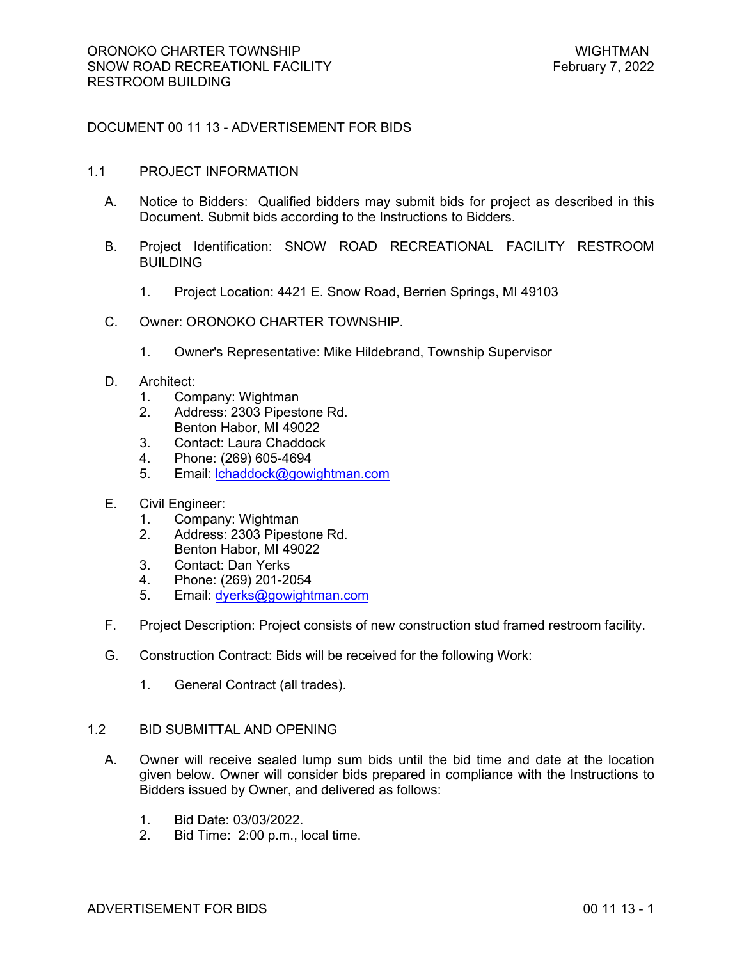# DOCUMENT 00 11 13 - ADVERTISEMENT FOR BIDS

#### 1.1 PROJECT INFORMATION

- A. Notice to Bidders: Qualified bidders may submit bids for project as described in this Document. Submit bids according to the Instructions to Bidders.
- B. Project Identification: SNOW ROAD RECREATIONAL FACILITY RESTROOM BUILDING
	- 1. Project Location: 4421 E. Snow Road, Berrien Springs, MI 49103
- C. Owner: ORONOKO CHARTER TOWNSHIP.
	- 1. Owner's Representative: Mike Hildebrand, Township Supervisor
- D. Architect:
	- 1. Company: Wightman
	- 2. Address: 2303 Pipestone Rd.
	- Benton Habor, MI 49022
	- 3. Contact: Laura Chaddock
	- 4. Phone: (269) 605-4694
	- 5. Email: lchaddock@gowightman.com
- E. Civil Engineer:
	- 1. Company: Wightman
	- 2. Address: 2303 Pipestone Rd. Benton Habor, MI 49022
	- 3. Contact: Dan Yerks
	- 4. Phone: (269) 201-2054
	- 5. Email: dyerks@gowightman.com
- F. Project Description: Project consists of new construction stud framed restroom facility.
- G. Construction Contract: Bids will be received for the following Work:
	- 1. General Contract (all trades).

## 1.2 BID SUBMITTAL AND OPENING

- A. Owner will receive sealed lump sum bids until the bid time and date at the location given below. Owner will consider bids prepared in compliance with the Instructions to Bidders issued by Owner, and delivered as follows:
	- 1. Bid Date: 03/03/2022.
	- 2. Bid Time: 2:00 p.m., local time.